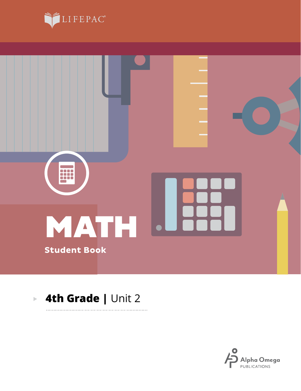



. . . . . . . . . . .

#### **4th Grade |** Unit 2 $\blacktriangleright$

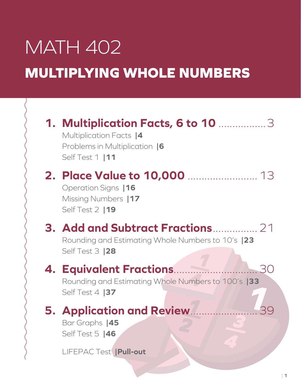# MATH 402 **MULTIPLYING WHOLE NUMBERS**

| <b>1. Multiplication Facts, 6 to 10 manuary 3</b><br>Multiplication Facts  4<br>Problems in Multiplication  6<br>Self Test 1   11 |
|-----------------------------------------------------------------------------------------------------------------------------------|
| Operation Signs   16<br>Missing Numbers   17<br>Self Test 2   19                                                                  |
| 3. Add and Subtract Fractions  21<br>Rounding and Estimating Whole Numbers to 10's  23<br><b>Self Test 3  28</b>                  |
| 4. Equivalent Fractions<br>Rounding and Estimating Whole Numbers to 100's  33<br>Self Test 4   37                                 |
| 5. Application and Review<br>Bar Graphs  45<br>Self Test 5  46<br>LIFEPAC Test   Pull-out                                         |
|                                                                                                                                   |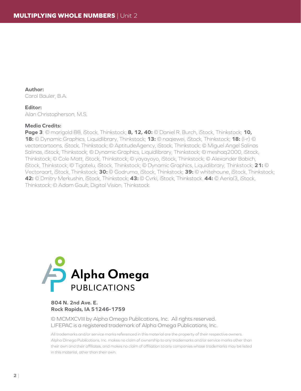**Author:** Carol Bauler, B.A.

#### **Editor:**

Alan Christopherson, M.S.

#### **Media Credits:**

**Page 3**: © marigold 88, iStock, Thinkstock; **8, 12, 40:** © Daniel R. Burch, iStock, Thinkstock; **10, 18:** © Dynamic Graphics, Liquidlibrary, Thinkstock; **13:** © naqiewei, iStock, Thinkstock; **18:** (l-r) © vectorcartoons, iStock, Thinkstock; © AptitudeAgency, iStock, Thinkstock; © Miguel Angel Salinas Salinas, iStock, Thinkstock; © Dynamic Graphics, Liquidlibrary, Thinkstock; © meshaq2000, iStock, Thinkstock; © Cole Matt, iStock, Thinkstock; © yayayoyo, iStock, Thinkstock; © Alexander Babich, iStock, Thinkstock; © Tigatelu, iStock, Thinkstock; © Dynamic Graphics, Liquidlibrary, Thinkstock; **21:** © Vectoraart, iStock, Thinkstock; **30:** © Godruma, iStock, Thinkstock; **39:** © whitehoune, iStock, Thinkstock; **42:** © Dmitry Merkushin, iStock, Thinkstock; **43:** © Cvrki, iStock, Thinkstock. **44:** © Aerial3, iStock, Thinkstock; © Adam Gault, Digital Vision, Thinkstock.



#### **804 N. 2nd Ave. E. Rock Rapids, IA 51246-1759**

© MCMXCVIII by Alpha Omega Publications, Inc. All rights reserved. LIFEPAC is a registered trademark of Alpha Omega Publications, Inc.

All trademarks and/or service marks referenced in this material are the property of their respective owners. Alpha Omega Publications, Inc. makes no claim of ownership to any trademarks and/or service marks other than their own and their affiliates, and makes no claim of affiliation to any companies whose trademarks may be listed in this material, other than their own.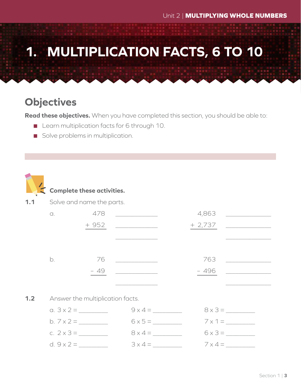## **1. MULTIPLICATION FACTS, 6 TO 10**

## **Objectives**

**Read these objectives.** When you have completed this section, you should be able to:

- **Learn multiplication facts for 6 through 10.**
- Solve problems in multiplication.



#### **Complete these activities.**

**1.1** Solve and name the parts.

| $\alpha$ .        | 478                                         |                                                    | 4,863<br><u> 1989 - Alexandr Store Barnett, amerikansk politiker (</u> |  |
|-------------------|---------------------------------------------|----------------------------------------------------|------------------------------------------------------------------------|--|
|                   |                                             |                                                    |                                                                        |  |
|                   |                                             | <u> 2002 - John Stein, Amerikaansk politiker (</u> |                                                                        |  |
|                   |                                             |                                                    |                                                                        |  |
|                   |                                             | b. 76 __________                                   | 763                                                                    |  |
|                   |                                             |                                                    | $-496$                                                                 |  |
|                   |                                             |                                                    |                                                                        |  |
|                   | <b>1.2</b> Answer the multiplication facts. |                                                    |                                                                        |  |
|                   |                                             | $9 \times 4 =$                                     | $8 \times 3 =$                                                         |  |
|                   | b. $7 \times 2 =$                           | $6 \times 5 =$                                     | $7 \times 1 =$                                                         |  |
|                   | c. $2 \times 3 =$                           | $8 \times 4 =$                                     | $6 \times 3 =$                                                         |  |
| d. $9 \times 2 =$ |                                             | $3 \times 4 =$                                     | $7 \times 4 =$                                                         |  |
|                   |                                             |                                                    |                                                                        |  |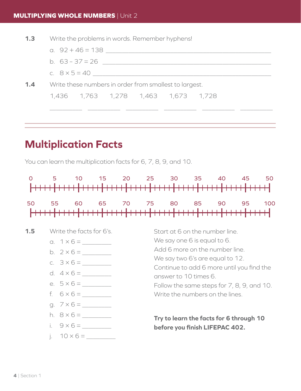**1.3** Write the problems in words. Remember hyphens!

| 一<br>the contract of the contract of the |  |
|------------------------------------------|--|
|                                          |  |

| b. $63 - 37 = 26$ |  |  |
|-------------------|--|--|

- c.  $8 \times 5 = 40$
- **1.4** Write these numbers in order from smallest to largest. 1,436 1,763 1,278 1,463 1,673 1,728

### **Multiplication Facts**

You can learn the multiplication facts for 6, 7, 8, 9, and 10.



\_\_\_\_\_\_\_\_\_\_ \_\_\_\_\_\_\_\_\_\_ \_\_\_\_\_\_\_\_\_\_ \_\_\_\_\_\_\_\_\_\_ \_\_\_\_\_\_\_\_\_\_ \_\_\_\_\_\_\_\_\_\_

|  |  |  |  |  |  |  |  |  |  |  |  |  |  |  |  |  |  |  |  |  |  |  |  |  | 50 55 60 65 70 75 80 85 90 95 100 |
|--|--|--|--|--|--|--|--|--|--|--|--|--|--|--|--|--|--|--|--|--|--|--|--|--|-----------------------------------|
|  |  |  |  |  |  |  |  |  |  |  |  |  |  |  |  |  |  |  |  |  |  |  |  |  |                                   |
|  |  |  |  |  |  |  |  |  |  |  |  |  |  |  |  |  |  |  |  |  |  |  |  |  |                                   |

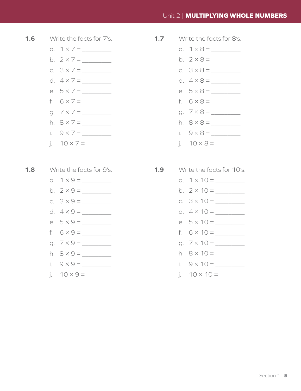#### Unit 2 | **MULTIPLYING WHOLE NUMBERS**



- a.  $1 \times 7 =$
- b.  $2 \times 7 =$
- c.  $3 \times 7 =$
- d.  $4 \times 7 =$
- e.  $5 \times 7 =$
- f. 6 × 7 = \_\_\_\_\_\_\_\_\_
- g. 7 × 7 = \_\_\_\_\_\_\_\_\_
- h.  $8 \times 7 =$
- i.  $9 \times 7 =$
- j.  $10 \times 7 =$

#### **1.8** Write the facts for 9's.

- a.  $1 \times 9 =$
- b.  $2 \times 9 =$
- c.  $3 \times 9 =$
- d.  $4 \times 9 =$
- e.  $5 \times 9 =$
- f.  $6 \times 9 =$
- a.  $7 \times 9 =$
- h.  $8 \times 9 =$
- i.  $9 \times 9 =$
- j.  $10 \times 9 =$
- **1.7** Write the facts for 8's.
	- a.  $1 \times 8 =$
	- b.  $2 \times 8 =$
	- c.  $3 \times 8 =$
	- d.  $4 \times 8 =$
	- e.  $5 \times 8 =$
	- f. 6 × 8 = \_\_\_\_\_\_\_\_\_
	- g. 7 × 8 = \_\_\_\_\_\_\_\_\_
	- h.  $8 \times 8 =$
	- i.  $9 \times 8 =$
	- j.  $10 \times 8 =$
- **1.9** Write the facts for 10's.
	- a.  $1 \times 10 =$
	- b.  $2 \times 10 =$
	- c.  $3 \times 10 =$
	- d.  $4 \times 10 =$
	- e.  $5 \times 10 =$
	- f.  $6 \times 10 =$
	- q.  $7 \times 10 =$
	- h.  $8 \times 10 =$
	- i.  $9 \times 10 =$
	- j.  $10 \times 10 =$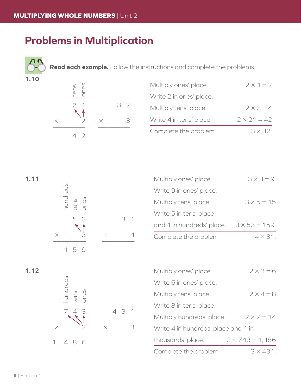## **Problems in Multiplication**

**Read each example.** Follow the instructions and complete the problems.



| Multiply ones' place.   | $2 \times 1 = 2$   |
|-------------------------|--------------------|
| Write 2 in ones' place. |                    |
| Multiply tens' place.   | $2 \times 2 = 4$   |
| Write 4 in tens' place. | $2 \times 21 = 42$ |
| Complete the problem    | $3 \times 32$      |

| I | $\sim$ | I |  |
|---|--------|---|--|
|   |        |   |  |



| 1.11 |      |     |                | Multiply ones' place.     | $3 \times 3 = 9$    |
|------|------|-----|----------------|---------------------------|---------------------|
|      |      |     |                | Write 9 in ones' place.   |                     |
|      | tens |     |                | Multiply tens' place.     | $3 \times 5 = 15$   |
|      |      | 5 3 | 3 <sup>1</sup> | Write 5 in tens' place    |                     |
|      |      |     |                | and 1 in hundreds' place. | $3 \times 53 = 159$ |
|      |      |     |                | Complete the problem      | $4 \times 31$ .     |



| 1.12                     |          |       | Multiply ones' place.               | $2 \times 3 = 6$       |
|--------------------------|----------|-------|-------------------------------------|------------------------|
|                          |          |       | Write 6 in ones' place.             |                        |
| nundreds<br>tens<br>ones |          |       | Multiply tens' place.               | $2 \times 4 = 8$       |
|                          |          |       | Write 8 in tens' place.             |                        |
|                          |          | 4 3 1 | Multiply hundreds' place.           | $2 \times 7 = 14$      |
| $\times$                 | $\times$ | 3     | Write 4 in hundreds' place and 1 in |                        |
| 1, 486                   |          |       | thousands' place.                   | $2 \times 743 = 1,486$ |
|                          |          |       | Complete the problem                | $3 \times 431$ .       |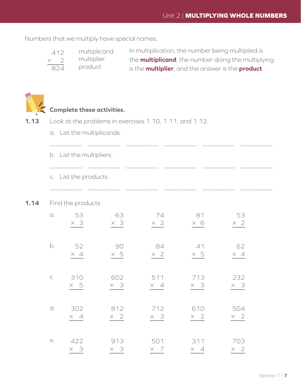Numbers that we multiply have special names.

| 412        | multiplicand | In multiplication, the number being multiplied is                 |
|------------|--------------|-------------------------------------------------------------------|
| $\times$ 2 | multiplier   | the <b>multiplicand</b> , the number doing the multiplying        |
| 824        | product      | is the <b>multiplier</b> , and the answer is the <b>product</b> . |

\_\_\_\_\_\_\_\_\_\_ \_\_\_\_\_\_\_\_\_\_ \_\_\_\_\_\_\_\_\_\_ \_\_\_\_\_\_\_\_\_\_ \_\_\_\_\_\_\_\_\_\_ \_\_\_\_\_\_\_\_\_\_



#### **Complete these activities.**

- **1.13** Look at the problems in exercises 1.10, 1.11, and 1.12.
	- a. List the multiplicands.

|               | b. List the multipliers. |            |            |            |            |
|---------------|--------------------------|------------|------------|------------|------------|
|               | c. List the products.    |            |            |            |            |
|               | Find the products.       |            |            |            |            |
| $\bigcirc$ .  | 53                       | 63         | 74         | 81         | 53         |
|               | $\times$ 3               | $\times$ 3 | $\times$ 2 | $\times$ 6 | $\times 2$ |
| b.            | 52                       | 90         | 84         | 41         | 62         |
|               | $\times$ 4               | $\times$ 5 | $\times$ 2 | $\times$ 5 | $\times$ 4 |
| $\mathsf{C}.$ | 310                      | 602        | 511        | 713        | 232        |
|               | $\times$ 5               | $\times$ 3 | $\times$ 4 | $\times$ 3 | $\times$ 3 |
| d.            | 302                      | 812        | 712        | 610        | 504        |
|               | $\times$ 4               | $\times$ 2 | $\times$ 3 | $\times$ 2 | $\times$ 2 |
| е.            | 422                      | 913        | 501        | 311        | 703        |
|               | $\times$ 3               | $\times$ 3 | $\times$ 7 | $\times$ 4 | $\times$ 2 |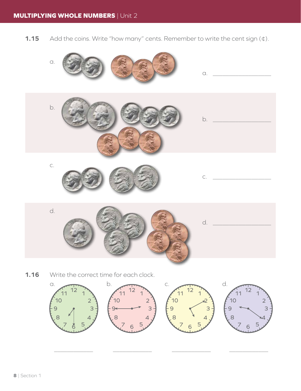**1.15** Add the coins. Write "how many" cents. Remember to write the cent sign (¢).



 $\mathcal{L}_\text{max}$  , and the contract of the contract of the contract of the contract of the contract of the contract of the contract of the contract of the contract of the contract of the contract of the contract of the contr

 $7 \times 5$ 

 $7<sub>6</sub>5$ 

 $7.6.5$ 

7 ≵ 5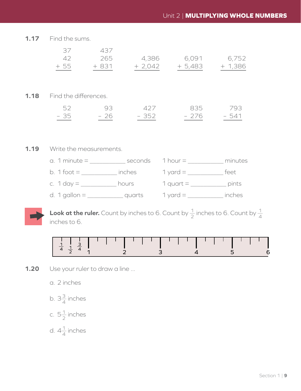**1.17** Find the sums.

| 37    | 437    |          |          |           |
|-------|--------|----------|----------|-----------|
| 42    | 265    | 4,386    | 6,091    | 6,752     |
| $+55$ | $+831$ | $+2,042$ | $+5,483$ | $+ 1,386$ |
|       |        |          |          |           |
|       |        |          |          |           |

**1.18** Find the differences.

| 52   | $\overline{Q}$ | - 427 | 835   | 793   |
|------|----------------|-------|-------|-------|
| - 35 | - 26           | - 352 | - 276 | - 541 |

#### **1.19** Write the measurements.

| $a. 1$ minute $=$              | seconds | 1 hour $=$  | minutes |
|--------------------------------|---------|-------------|---------|
| b. 1 foot $=$                  | inches  | 1 yard $=$  | teet    |
| c. 1 day $=$ $\overline{ }$    | hours   | 1 quart $=$ | pints   |
| d. 1 gallon $=$ $\overline{a}$ | quarts  | 1 yard $=$  | inches  |



**Look at the ruler.** Count by inches to 6. Count by  $\frac{1}{2}$  inches to 6. Count by  $\frac{1}{4}$ inches to 6.



**1.20** Use your ruler to draw a line ...

a. 2 inches

- b.  $3\frac{3}{4}$  inches
- c.  $5\frac{1}{2}$  inches
- d.  $4\frac{1}{4}$  inches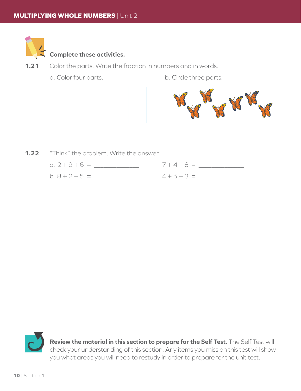

#### **Complete these activities.**

- **1.21** Color the parts. Write the fraction in numbers and in words.
	-
	- a. Color four parts. b. Circle three parts.





**1.22** "Think" the problem. Write the answer.

| a. $2 + 9 + 6 =$ | $7 + 4 + 8 =$ |
|------------------|---------------|
| $b. 8 + 2 + 5 =$ | $4+5+3=$      |

\_\_\_\_\_\_ \_\_\_\_\_\_\_\_\_\_\_\_\_\_\_\_\_\_\_\_\_ \_\_\_\_\_\_ \_\_\_\_\_\_\_\_\_\_\_\_\_\_\_\_\_\_\_\_\_

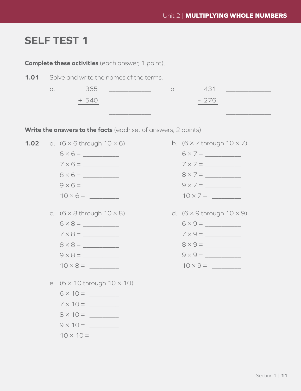## **SELF TEST 1**

| <b>Complete these activities</b> (each answer, 1 point). |            |                                                                 |    |                                                              |  |
|----------------------------------------------------------|------------|-----------------------------------------------------------------|----|--------------------------------------------------------------|--|
| 1.01                                                     |            | Solve and write the names of the terms.                         |    |                                                              |  |
|                                                          | $\alpha$ . | 365                                                             | b. | 431                                                          |  |
|                                                          |            | + 540                                                           |    | - 276<br><u> 1990 - Jan Barbara Barat, politik politik (</u> |  |
|                                                          |            |                                                                 |    |                                                              |  |
|                                                          |            | Write the answers to the facts (each set of answers, 2 points). |    |                                                              |  |
| 1.02                                                     |            | a. $(6 \times 6$ through $10 \times 6)$                         |    | b. $(6 \times 7)$ through $10 \times 7$ )                    |  |
|                                                          |            |                                                                 |    | $6 \times 7 =$                                               |  |
|                                                          |            | $7 \times 6 =$                                                  |    | $7 \times 7 =$                                               |  |
|                                                          |            | $8 \times 6 =$                                                  |    | $8 \times 7 =$                                               |  |
|                                                          |            | $9 \times 6 =$                                                  |    | $9 \times 7 =$                                               |  |
|                                                          |            | $10 \times 6 =$                                                 |    |                                                              |  |
|                                                          |            | c. $(6 \times 8)$ through $10 \times 8$                         |    | d. $(6 \times 9$ through $10 \times 9)$                      |  |
|                                                          |            | $6 \times 8 =$                                                  |    | $6 \times 9 =$                                               |  |
|                                                          |            |                                                                 |    | $7 \times 9 =$                                               |  |
|                                                          |            | $8 \times 8 =$                                                  |    | $8 \times 9 =$                                               |  |
|                                                          |            | $9 \times 8 =$                                                  |    | $9 \times 9 =$                                               |  |
|                                                          |            | $10 \times 8 =$                                                 |    |                                                              |  |
|                                                          |            | e. $(6 \times 10$ through $10 \times 10$ )                      |    |                                                              |  |
|                                                          |            |                                                                 |    |                                                              |  |
|                                                          |            |                                                                 |    |                                                              |  |
|                                                          |            |                                                                 |    |                                                              |  |
|                                                          |            |                                                                 |    |                                                              |  |
|                                                          |            |                                                                 |    |                                                              |  |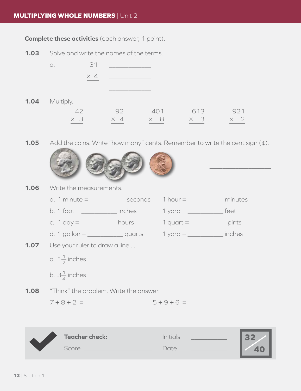#### **MULTIPLYING WHOLE NUMBERS** | Unit 2

**Complete these activities** (each answer, 1 point).

**1.03** Solve and write the names of the terms.



 $\mathcal{L}_\text{max}$  and  $\mathcal{L}_\text{max}$  are the set of  $\mathcal{L}_\text{max}$ 

**1.04** Multiply.

| 42 <sup>2</sup> | 92 401 613 921        |            |            |
|-----------------|-----------------------|------------|------------|
| $\times$ 3      | $\times$ 4 $\times$ 8 | $\times$ 3 | $\times$ 2 |

**1.05** Add the coins. Write "how many" cents. Remember to write the cent sign (¢).



- **1.06** Write the measurements.
	- a. 1 minute =  $\frac{1}{2}$  seconds 1 hour =  $\frac{1}{2}$  minutes
	- b.  $1$  foot =  $\_\_\_\_\_\_\_\_\_\_\_\_\_\_\_\_\_\_\_\_\_$  inches  $1$  yard =  $\_\_\_\_\_\_\_\_\_\_\_\_\_\_\_\_\_\_\_\_\_\_\_\_\_$  feet
	- c.  $1 \text{ day} =$  hours  $1 \text{ quart} =$  pints
	- d. 1 gallon = \_\_\_\_\_\_\_\_\_\_\_\_ quarts  $1$  yard = \_\_\_\_\_\_\_\_\_\_\_ inches
- **1.07** Use your ruler to draw a line ...
	- a. 1 $\frac{1}{2}$  inches
	- b.  $3\frac{1}{4}$  inches
- **1.08** "Think" the problem. Write the answer.

 $7 + 8 + 2 =$  5 + 9 + 6 =